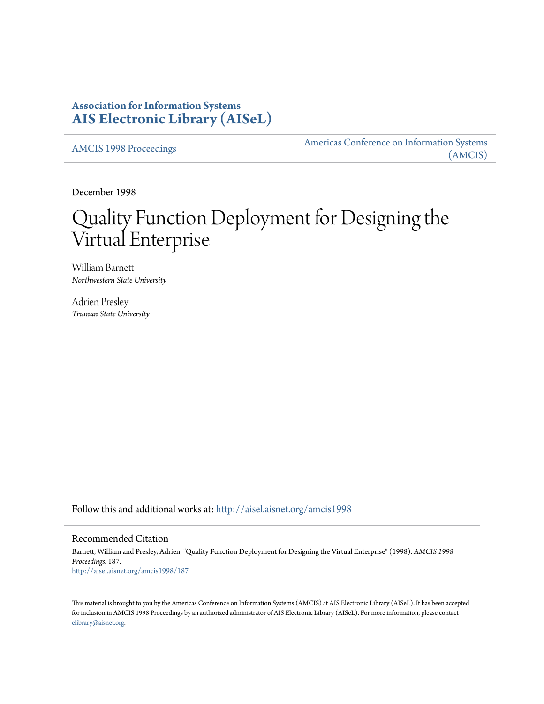## **Association for Information Systems [AIS Electronic Library \(AISeL\)](http://aisel.aisnet.org?utm_source=aisel.aisnet.org%2Famcis1998%2F187&utm_medium=PDF&utm_campaign=PDFCoverPages)**

[AMCIS 1998 Proceedings](http://aisel.aisnet.org/amcis1998?utm_source=aisel.aisnet.org%2Famcis1998%2F187&utm_medium=PDF&utm_campaign=PDFCoverPages)

[Americas Conference on Information Systems](http://aisel.aisnet.org/amcis?utm_source=aisel.aisnet.org%2Famcis1998%2F187&utm_medium=PDF&utm_campaign=PDFCoverPages) [\(AMCIS\)](http://aisel.aisnet.org/amcis?utm_source=aisel.aisnet.org%2Famcis1998%2F187&utm_medium=PDF&utm_campaign=PDFCoverPages)

December 1998

# Quality Function Deployment for Designing the Virtual Enterprise

William Barnett *Northwestern State University*

Adrien Presley *Truman State University*

Follow this and additional works at: [http://aisel.aisnet.org/amcis1998](http://aisel.aisnet.org/amcis1998?utm_source=aisel.aisnet.org%2Famcis1998%2F187&utm_medium=PDF&utm_campaign=PDFCoverPages)

#### Recommended Citation

Barnett, William and Presley, Adrien, "Quality Function Deployment for Designing the Virtual Enterprise" (1998). *AMCIS 1998 Proceedings*. 187. [http://aisel.aisnet.org/amcis1998/187](http://aisel.aisnet.org/amcis1998/187?utm_source=aisel.aisnet.org%2Famcis1998%2F187&utm_medium=PDF&utm_campaign=PDFCoverPages)

This material is brought to you by the Americas Conference on Information Systems (AMCIS) at AIS Electronic Library (AISeL). It has been accepted for inclusion in AMCIS 1998 Proceedings by an authorized administrator of AIS Electronic Library (AISeL). For more information, please contact [elibrary@aisnet.org.](mailto:elibrary@aisnet.org%3E)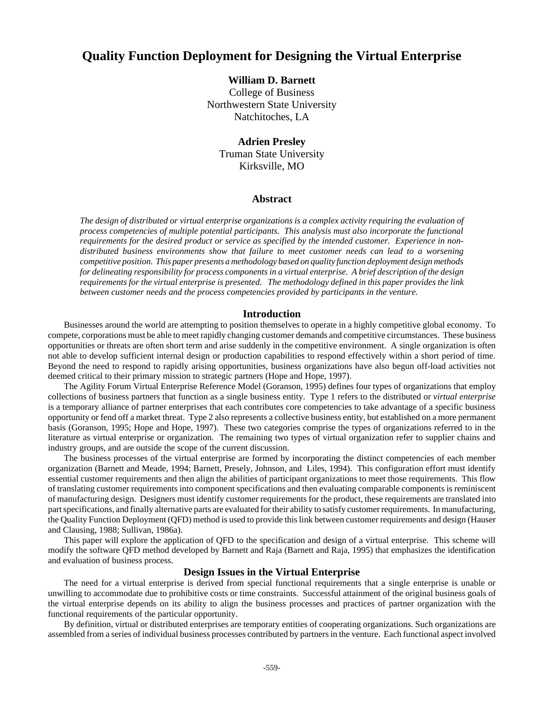## **Quality Function Deployment for Designing the Virtual Enterprise**

#### **William D. Barnett**

College of Business Northwestern State University Natchitoches, LA

### **Adrien Presley** Truman State University Kirksville, MO

#### **Abstract**

*The design of distributed or virtual enterprise organizations is a complex activity requiring the evaluation of process competencies of multiple potential participants. This analysis must also incorporate the functional requirements for the desired product or service as specified by the intended customer. Experience in nondistributed business environments show that failure to meet customer needs can lead to a worsening competitive position. This paper presents a methodology based on quality function deployment design methods for delineating responsibility for process components in a virtual enterprise. A brief description of the design requirements for the virtual enterprise is presented. The methodology defined in this paper provides the link between customer needs and the process competencies provided by participants in the venture.*

#### **Introduction**

Businesses around the world are attempting to position themselves to operate in a highly competitive global economy. To compete, corporations must be able to meet rapidly changing customer demands and competitive circumstances. These business opportunities or threats are often short term and arise suddenly in the competitive environment. A single organization is often not able to develop sufficient internal design or production capabilities to respond effectively within a short period of time. Beyond the need to respond to rapidly arising opportunities, business organizations have also begun off-load activities not deemed critical to their primary mission to strategic partners (Hope and Hope, 1997).

The Agility Forum Virtual Enterprise Reference Model (Goranson, 1995) defines four types of organizations that employ collections of business partners that function as a single business entity. Type 1 refers to the distributed or *virtual enterprise* is a temporary alliance of partner enterprises that each contributes core competencies to take advantage of a specific business opportunity or fend off a market threat. Type 2 also represents a collective business entity, but established on a more permanent basis (Goranson, 1995; Hope and Hope, 1997). These two categories comprise the types of organizations referred to in the literature as virtual enterprise or organization. The remaining two types of virtual organization refer to supplier chains and industry groups, and are outside the scope of the current discussion.

The business processes of the virtual enterprise are formed by incorporating the distinct competencies of each member organization (Barnett and Meade, 1994; Barnett, Presely, Johnson, and Liles, 1994). This configuration effort must identify essential customer requirements and then align the abilities of participant organizations to meet those requirements. This flow of translating customer requirements into component specifications and then evaluating comparable components is reminiscent of manufacturing design. Designers must identify customer requirements for the product, these requirements are translated into part specifications, and finally alternative parts are evaluated for their ability to satisfy customer requirements. In manufacturing, the Quality Function Deployment (QFD) method is used to provide this link between customer requirements and design (Hauser and Clausing, 1988; Sullivan, 1986a).

This paper will explore the application of QFD to the specification and design of a virtual enterprise. This scheme will modify the software QFD method developed by Barnett and Raja (Barnett and Raja, 1995) that emphasizes the identification and evaluation of business process.

#### **Design Issues in the Virtual Enterprise**

The need for a virtual enterprise is derived from special functional requirements that a single enterprise is unable or unwilling to accommodate due to prohibitive costs or time constraints. Successful attainment of the original business goals of the virtual enterprise depends on its ability to align the business processes and practices of partner organization with the functional requirements of the particular opportunity.

By definition, virtual or distributed enterprises are temporary entities of cooperating organizations. Such organizations are assembled from a series of individual business processes contributed by partners in the venture. Each functional aspect involved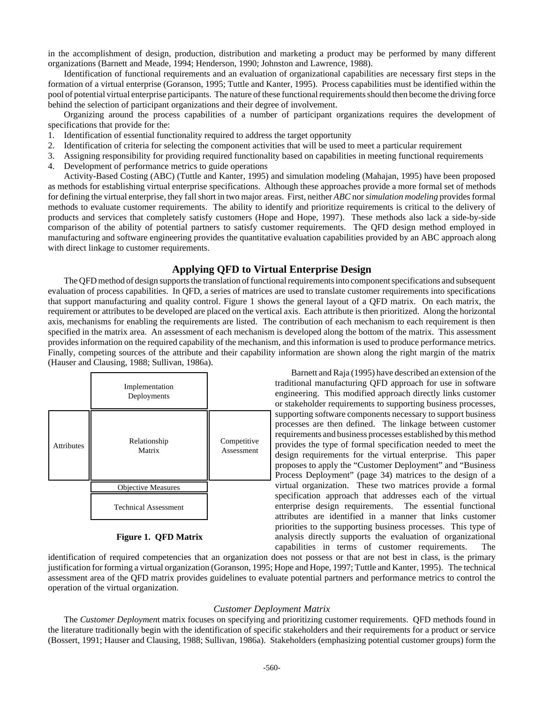in the accomplishment of design, production, distribution and marketing a product may be performed by many different organizations (Barnett and Meade, 1994; Henderson, 1990; Johnston and Lawrence, 1988).

Identification of functional requirements and an evaluation of organizational capabilities are necessary first steps in the formation of a virtual enterprise (Goranson, 1995; Tuttle and Kanter, 1995). Process capabilities must be identified within the pool of potential virtual enterprise participants. The nature of these functional requirements should then become the driving force behind the selection of participant organizations and their degree of involvement.

Organizing around the process capabilities of a number of participant organizations requires the development of specifications that provide for the:

- 1. Identification of essential functionality required to address the target opportunity
- 2. Identification of criteria for selecting the component activities that will be used to meet a particular requirement
- 3. Assigning responsibility for providing required functionality based on capabilities in meeting functional requirements
- 4. Development of performance metrics to guide operations

Activity-Based Costing (ABC) (Tuttle and Kanter, 1995) and simulation modeling (Mahajan, 1995) have been proposed as methods for establishing virtual enterprise specifications. Although these approaches provide a more formal set of methods for defining the virtual enterprise, they fall short in two major areas. First, neither *ABC* nor *simulation modeling* provides formal methods to evaluate customer requirements. The ability to identify and prioritize requirements is critical to the delivery of products and services that completely satisfy customers (Hope and Hope, 1997). These methods also lack a side-by-side comparison of the ability of potential partners to satisfy customer requirements. The QFD design method employed in manufacturing and software engineering provides the quantitative evaluation capabilities provided by an ABC approach along with direct linkage to customer requirements.

#### **Applying QFD to Virtual Enterprise Design**

The QFD method of design supports the translation of functional requirements into component specifications and subsequent evaluation of process capabilities. In QFD, a series of matrices are used to translate customer requirements into specifications that support manufacturing and quality control. Figure 1 shows the general layout of a QFD matrix. On each matrix, the requirement or attributes to be developed are placed on the vertical axis. Each attribute is then prioritized. Along the horizontal axis, mechanisms for enabling the requirements are listed. The contribution of each mechanism to each requirement is then specified in the matrix area. An assessment of each mechanism is developed along the bottom of the matrix. This assessment provides information on the required capability of the mechanism, and this information is used to produce performance metrics. Finally, competing sources of the attribute and their capability information are shown along the right margin of the matrix (Hauser and Clausing, 1988; Sullivan, 1986a).

|            | Implementation<br>Deployments |                           |
|------------|-------------------------------|---------------------------|
| Attributes | Relationship<br>Matrix        | Competitive<br>Assessment |
|            | <b>Objective Measures</b>     |                           |
|            | <b>Technical Assessment</b>   |                           |

#### **Figure 1. QFD Matrix**

Barnett and Raja (1995) have described an extension of the traditional manufacturing QFD approach for use in software engineering. This modified approach directly links customer or stakeholder requirements to supporting business processes, supporting software components necessary to support business processes are then defined. The linkage between customer requirements and business processes established by this method provides the type of formal specification needed to meet the design requirements for the virtual enterprise. This paper proposes to apply the "Customer Deployment" and "Business Process Deployment" (page 34) matrices to the design of a virtual organization. These two matrices provide a formal specification approach that addresses each of the virtual enterprise design requirements. The essential functional attributes are identified in a manner that links customer priorities to the supporting business processes. This type of analysis directly supports the evaluation of organizational capabilities in terms of customer requirements. The

identification of required competencies that an organization does not possess or that are not best in class, is the primary justification for forming a virtual organization (Goranson, 1995; Hope and Hope, 1997; Tuttle and Kanter, 1995). The technical assessment area of the QFD matrix provides guidelines to evaluate potential partners and performance metrics to control the operation of the virtual organization.

#### *Customer Deployment Matrix*

The *Customer Deploymen*t matrix focuses on specifying and prioritizing customer requirements. QFD methods found in the literature traditionally begin with the identification of specific stakeholders and their requirements for a product or service (Bossert, 1991; Hauser and Clausing, 1988; Sullivan, 1986a). Stakeholders (emphasizing potential customer groups) form the